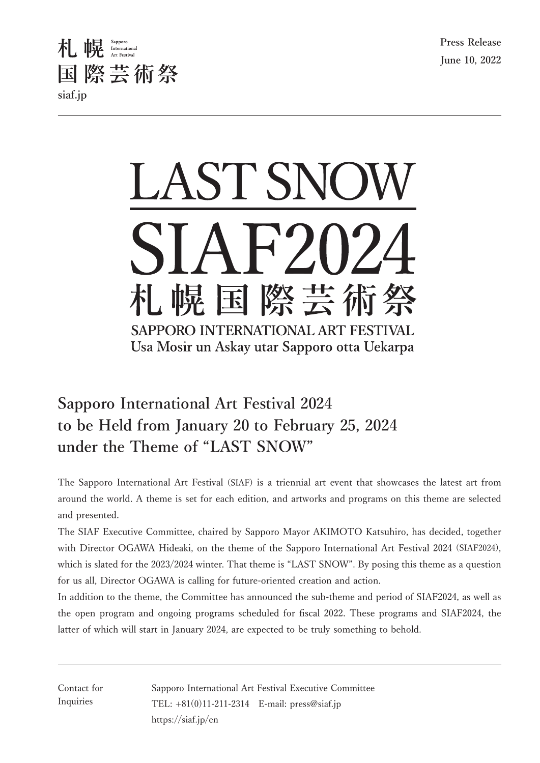



# **Sapporo International Art Festival 2024** to be Held from January 20 to February 25, 2024 under the Theme of "LAST SNOW"

The Sapporo International Art Festival (SIAF) is a triennial art event that showcases the latest art from around the world. A theme is set for each edition, and artworks and programs on this theme are selected and presented.

The SIAF Executive Committee, chaired by Sapporo Mayor AKIMOTO Katsuhiro, has decided, together with Director OGAWA Hideaki, on the theme of the Sapporo International Art Festival 2024 (SIAF2024), which is slated for the 2023/2024 winter. That theme is "LAST SNOW". By posing this theme as a question for us all, Director OGAWA is calling for future-oriented creation and action.

In addition to the theme, the Committee has announced the sub-theme and period of SIAF2024, as well as the open program and ongoing programs scheduled for fiscal 2022. These programs and SIAF2024, the latter of which will start in January 2024, are expected to be truly something to behold.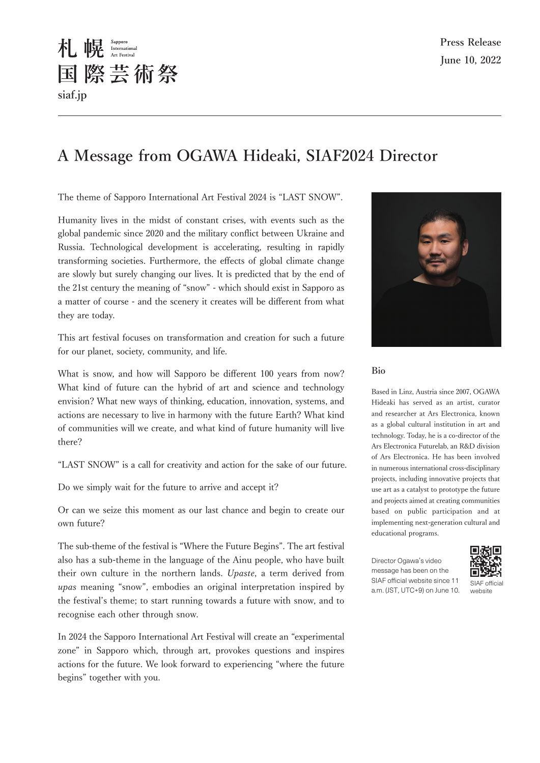# A Message from OGAWA Hideaki, SIAF2024 Director

The theme of Sapporo International Art Festival 2024 is "LAST SNOW".

木 幌 Sapporo

siaf.jp

国際芸術祭

Humanity lives in the midst of constant crises, with events such as the global pandemic since 2020 and the military conflict between Ukraine and Russia. Technological development is accelerating, resulting in rapidly transforming societies. Furthermore, the effects of global climate change are slowly but surely changing our lives. It is predicted that by the end of the 21st century the meaning of "snow" - which should exist in Sapporo as a matter of course - and the scenery it creates will be different from what they are today.

This art festival focuses on transformation and creation for such a future for our planet, society, community, and life.

What is snow, and how will Sapporo be different 100 years from now? What kind of future can the hybrid of art and science and technology envision? What new ways of thinking, education, innovation, systems, and actions are necessary to live in harmony with the future Earth? What kind of communities will we create, and what kind of future humanity will live there?

"LAST SNOW" is a call for creativity and action for the sake of our future.

Do we simply wait for the future to arrive and accept it?

Or can we seize this moment as our last chance and begin to create our own future?

The sub-theme of the festival is "Where the Future Begins". The art festival also has a sub-theme in the language of the Ainu people, who have built their own culture in the northern lands. Upaste, a term derived from *upas* meaning "snow", embodies an original interpretation inspired by the festival's theme; to start running towards a future with snow, and to recognise each other through snow.

In 2024 the Sapporo International Art Festival will create an "experimental zone" in Sapporo which, through art, provokes questions and inspires actions for the future. We look forward to experiencing "where the future begins" together with you.



#### Bio

Based in Linz, Austria since 2007, OGAWA Hideaki has served as an artist, curator and researcher at Ars Electronica, known as a global cultural institution in art and technology. Today, he is a co-director of the Ars Electronica Futurelab, an R&D division of Ars Electronica. He has been involved in numerous international cross-disciplinary projects, including innovative projects that use art as a catalyst to prototype the future and projects aimed at creating communities based on public participation and at implementing next-generation cultural and educational programs.

Director Ogawa's video message has been on the SIAF official website since 11 a.m. (JST, UTC+9) on June 10.



 $CIAE$  official website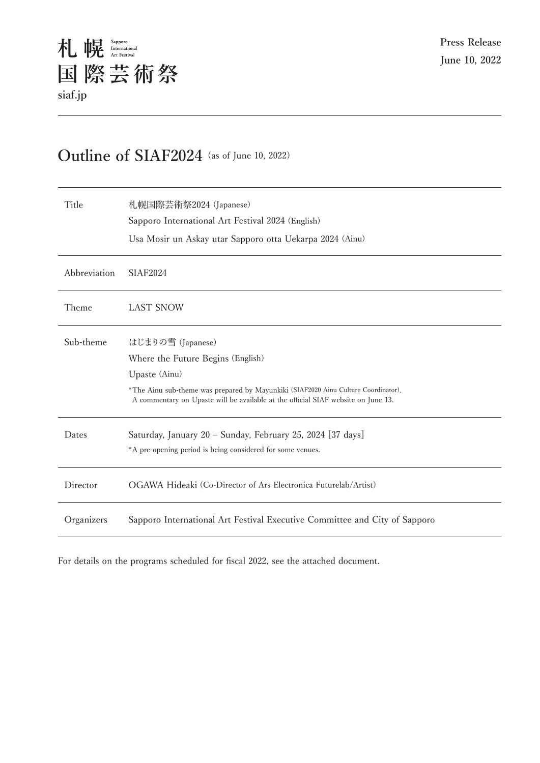## Outline of SIAF2024 (as of June 10, 2022)

| Title        | 札幌国際芸術祭2024 (Japanese)<br>Sapporo International Art Festival 2024 (English)<br>Usa Mosir un Askay utar Sapporo otta Uekarpa 2024 (Ainu)                                                                                                            |
|--------------|----------------------------------------------------------------------------------------------------------------------------------------------------------------------------------------------------------------------------------------------------|
| Abbreviation | <b>SIAF2024</b>                                                                                                                                                                                                                                    |
| Theme        | <b>LAST SNOW</b>                                                                                                                                                                                                                                   |
| Sub-theme    | はじまりの雪 (Japanese)<br>Where the Future Begins (English)<br>Upaste (Ainu)<br>*The Ainu sub-theme was prepared by Mayunkiki (SIAF2020 Ainu Culture Coordinator).<br>A commentary on Upaste will be available at the official SIAF website on June 13. |
| Dates        | Saturday, January 20 - Sunday, February 25, 2024 [37 days]<br>*A pre-opening period is being considered for some venues.                                                                                                                           |
| Director     | OGAWA Hideaki (Co-Director of Ars Electronica Futurelab/Artist)                                                                                                                                                                                    |
| Organizers   | Sapporo International Art Festival Executive Committee and City of Sapporo                                                                                                                                                                         |

For details on the programs scheduled for fiscal 2022, see the attached document.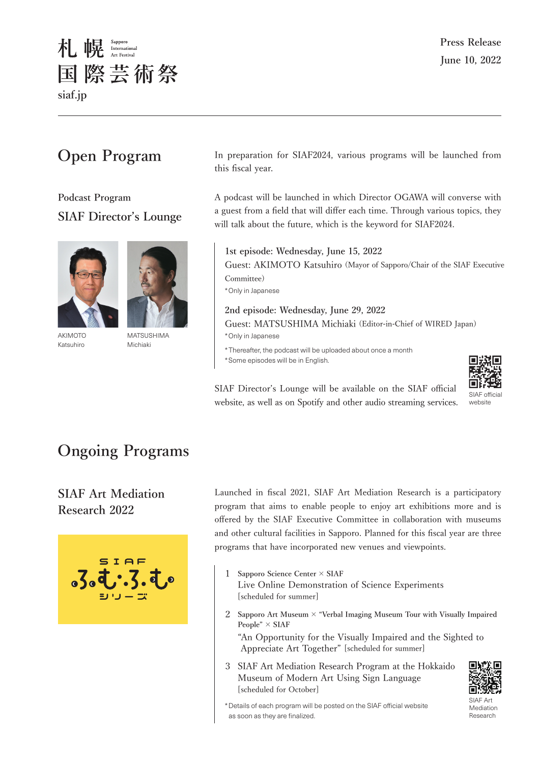

# **Open Program**

**Podcast Program SIAF Director's Lounge** 



AKIMOTO Katsuhiro

**MATSUSHIMA** Michiaki

In preparation for SIAF2024, various programs will be launched from this fiscal year.

A podcast will be launched in which Director OGAWA will converse with a guest from a field that will differ each time. Through various topics, they will talk about the future, which is the keyword for SIAF2024.

1st episode: Wednesday, June 15, 2022 Guest: AKIMOTO Katsuhiro (Mayor of Sapporo/Chair of the SIAF Executive Committee) \*Only in Japanese

2nd episode: Wednesday, June 29, 2022 Guest: MATSUSHIMA Michiaki (Editor-in-Chief of WIRED Japan) \*Only in Japanese

\*Thereafter, the podcast will be uploaded about once a month \*Some episodes will be in English.



SIAF Director's Lounge will be available on the SIAF official website, as well as on Spotify and other audio streaming services.

## **Ongoing Programs**

#### **SIAF Art Mediation** Research 2022



Launched in fiscal 2021, SIAF Art Mediation Research is a participatory program that aims to enable people to enjoy art exhibitions more and is offered by the SIAF Executive Committee in collaboration with museums and other cultural facilities in Sapporo. Planned for this fiscal year are three programs that have incorporated new venues and viewpoints.

- 1 Sapporo Science Center × SIAF Live Online Demonstration of Science Experiments [scheduled for summer]
- 2 Sapporo Art Museum  $\times$  "Verbal Imaging Museum Tour with Visually Impaired People"  $\times$  SIAF

"An Opportunity for the Visually Impaired and the Sighted to Appreciate Art Together" [scheduled for summer]

3 SIAF Art Mediation Research Program at the Hokkaido Museum of Modern Art Using Sign Language [scheduled for October]



 $SIAF$  Art Mediation Research

\* Details of each program will be posted on the SIAF official website as soon as they are finalized.